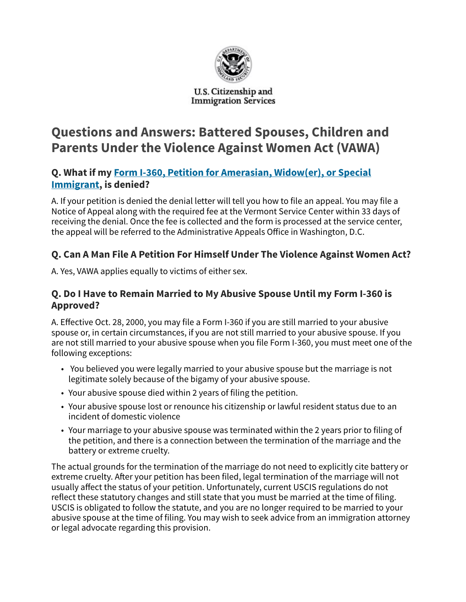

#### U.S. Citizenship and **Immigration Services**

# Questions and Answers: Battered Spouses, Children and Parents Under the Violence Against Women Act (VAWA)

## Q. What if my Form I-360, Petition for Amerasian, Widow(er), or Special Immigrant, is denied?

A. If your petition is denied the denial letter will tell you how to file an appeal. You may file a Notice of Appeal along with the required fee at the Vermont Service Center within 33 days of receiving the denial. Once the fee is collected and the form is processed at the service center, the appeal will be referred to the Administrative Appeals Office in Washington, D.C.

# Q. Can A Man File A Petition For Himself Under The Violence Against Women Act?

A. Yes, VAWA applies equally to victims of either sex.

### Q. Do I Have to Remain Married to My Abusive Spouse Until my Form I-360 is Approved?

A. Effective Oct. 28, 2000, you may file a Form I-360 if you are still married to your abusive spouse or, in certain circumstances, if you are not still married to your abusive spouse. If you are not still married to your abusive spouse when you file Form I-360, you must meet one of the following exceptions:

- You believed you were legally married to your abusive spouse but the marriage is not legitimate solely because of the bigamy of your abusive spouse.
- Your abusive spouse died within 2 years of filing the petition.
- Your abusive spouse lost or renounce his citizenship or lawful resident status due to an incident of domestic violence
- Your marriage to your abusive spouse was terminated within the 2 years prior to filing of the petition, and there is a connection between the termination of the marriage and the battery or extreme cruelty.

The actual grounds for the termination of the marriage do not need to explicitly cite battery or extreme cruelty. After your petition has been filed, legal termination of the marriage will not usually affect the status of your petition. Unfortunately, current USCIS regulations do not reflect these statutory changes and still state that you must be married at the time of filing. USCIS is obligated to follow the statute, and you are no longer required to be married to your abusive spouse at the time of filing. You may wish to seek advice from an immigration attorney or legal advocate regarding this provision.